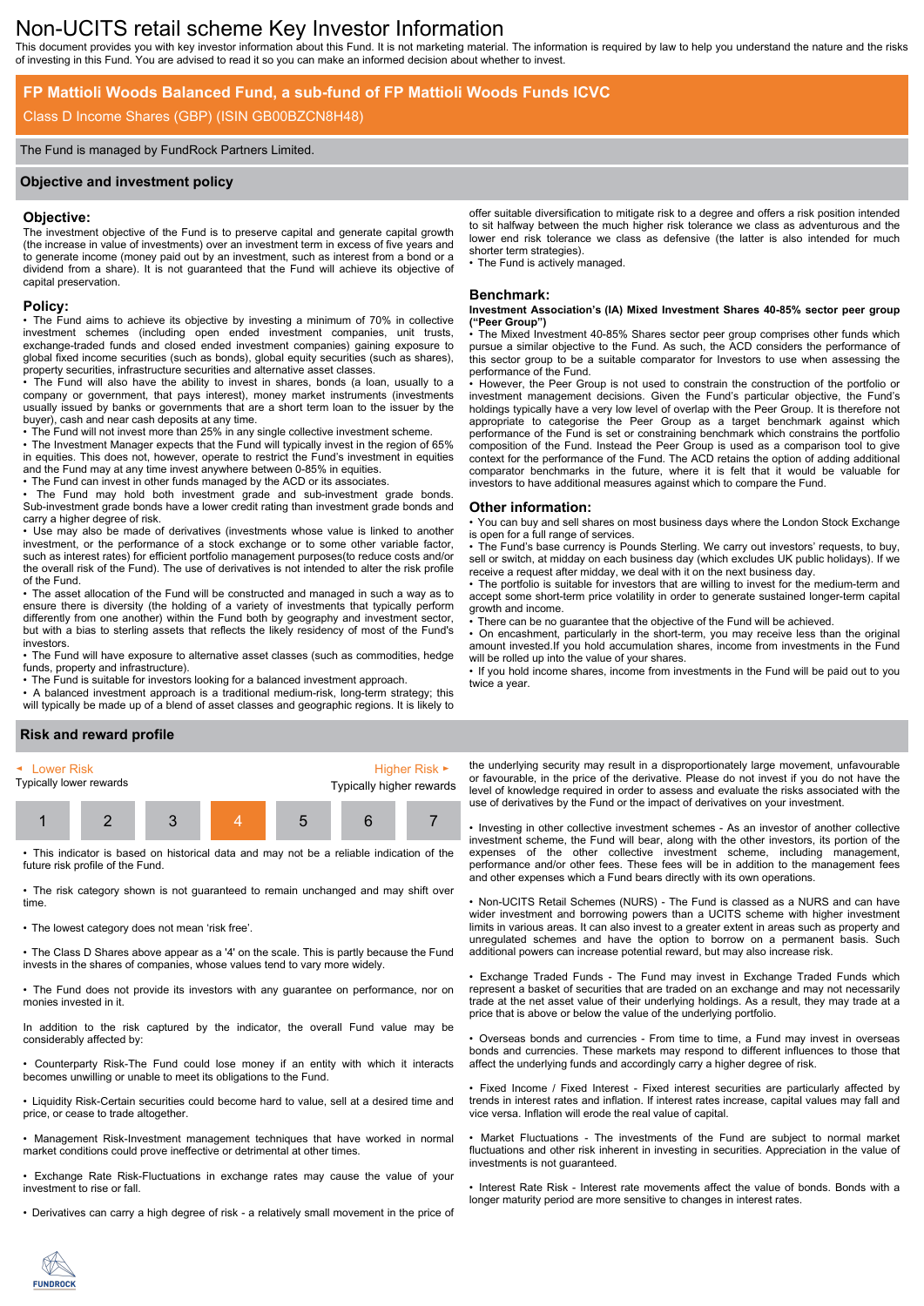# Non-UCITS retail scheme Key Investor Information

This document provides you with key investor information about this Fund. It is not marketing material. The information is required by law to help you understand the nature and the risks of investing in this Fund. You are advised to read it so you can make an informed decision about whether to invest.

# **FP Mattioli Woods Balanced Fund, a sub-fund of FP Mattioli Woods Funds ICVC**

# Class D Income Shares (GBP) (ISIN GB00BZCN8H48)

### The Fund is managed by FundRock Partners Limited.

### **Objective and investment policy**

### **Objective:**

The investment objective of the Fund is to preserve capital and generate capital growth (the increase in value of investments) over an investment term in excess of five years and to generate income (money paid out by an investment, such as interest from a bond or a dividend from a share). It is not guaranteed that the Fund will achieve its objective of capital preservation.

### **Policy:**

• The Fund aims to achieve its objective by investing a minimum of 70% in collective investment schemes (including open ended investment companies, unit trusts, exchange-traded funds and closed ended investment companies) gaining exposure to global fixed income securities (such as bonds), global equity securities (such as shares), property securities, infrastructure securities and alternative asset classes.

• The Fund will also have the ability to invest in shares, bonds (a loan, usually to a company or government, that pays interest), money market instruments (investments usually issued by banks or governments that are a short term loan to the issuer by the buyer), cash and near cash deposits at any time.

• The Fund will not invest more than 25% in any single collective investment scheme. • The Investment Manager expects that the Fund will typically invest in the region of 65% in equities. This does not, however, operate to restrict the Fund's investment in equities and the Fund may at any time invest anywhere between 0-85% in equities.

• The Fund can invest in other funds managed by the ACD or its associates.

• The Fund may hold both investment grade and sub-investment grade bonds. Sub-investment grade bonds have a lower credit rating than investment grade bonds and carry a higher degree of risk.

• Use may also be made of derivatives (investments whose value is linked to another investment, or the performance of a stock exchange or to some other variable factor, such as interest rates) for efficient portfolio management purposes(to reduce costs and/or the overall risk of the Fund). The use of derivatives is not intended to alter the risk profile of the Fund.

• The asset allocation of the Fund will be constructed and managed in such a way as to ensure there is diversity (the holding of a variety of investments that typically perform differently from one another) within the Fund both by geography and investment sector, but with a bias to sterling assets that reflects the likely residency of most of the Fund's investors.

• The Fund will have exposure to alternative asset classes (such as commodities, hedge funds, property and infrastructure).

• The Fund is suitable for investors looking for a balanced investment approach.

• A balanced investment approach is a traditional medium-risk, long-term strategy; this will typically be made up of a blend of asset classes and geographic regions. It is likely to offer suitable diversification to mitigate risk to a degree and offers a risk position intended to sit halfway between the much higher risk tolerance we class as adventurous and the lower end risk tolerance we class as defensive (the latter is also intended for much shorter term strategies).

• The Fund is actively managed.

### **Benchmark:**

#### **Investment Association's (IA) Mixed Investment Shares 40-85% sector peer group ("Peer Group")**

The Mixed Investment 40-85% Shares sector peer group comprises other funds which pursue a similar objective to the Fund. As such, the ACD considers the performance of this sector group to be a suitable comparator for Investors to use when assessing the performance of the Fund.

• However, the Peer Group is not used to constrain the construction of the portfolio or investment management decisions. Given the Fund's particular objective, the Fund's holdings typically have a very low level of overlap with the Peer Group. It is therefore not appropriate to categorise the Peer Group as a target benchmark against which performance of the Fund is set or constraining benchmark which constrains the portfolio composition of the Fund. Instead the Peer Group is used as a comparison tool to give context for the performance of the Fund. The ACD retains the option of adding additional comparator benchmarks in the future, where it is felt that it would be valuable for investors to have additional measures against which to compare the Fund.

### **Other information:**

• You can buy and sell shares on most business days where the London Stock Exchange is open for a full range of services.

• The Fund's base currency is Pounds Sterling. We carry out investors' requests, to buy, sell or switch, at midday on each business day (which excludes UK public holidays). If we receive a request after midday, we deal with it on the next business day.

• The portfolio is suitable for investors that are willing to invest for the medium-term and accept some short-term price volatility in order to generate sustained longer-term capital growth and income.

There can be no guarantee that the objective of the Fund will be achieved.

• On encashment, particularly in the short-term, you may receive less than the original amount invested.If you hold accumulation shares, income from investments in the Fund will be rolled up into the value of your shares.

• If you hold income shares, income from investments in the Fund will be paid out to you twice a year.

### **Risk and reward profile**



This indicator is based on historical data and may not be a reliable indication of the future risk profile of the Fund.

• The risk category shown is not guaranteed to remain unchanged and may shift over time.

• The lowest category does not mean 'risk free'.

• The Class D Shares above appear as a '4' on the scale. This is partly because the Fund invests in the shares of companies, whose values tend to vary more widely.

• The Fund does not provide its investors with any guarantee on performance, nor on monies invested in it.

In addition to the risk captured by the indicator, the overall Fund value may be considerably affected by:

• Counterparty Risk-The Fund could lose money if an entity with which it interacts becomes unwilling or unable to meet its obligations to the Fund.

• Liquidity Risk-Certain securities could become hard to value, sell at a desired time and price, or cease to trade altogether.

• Management Risk-Investment management techniques that have worked in normal market conditions could prove ineffective or detrimental at other times.

• Exchange Rate Risk-Fluctuations in exchange rates may cause the value of your investment to rise or fall.

• Derivatives can carry a high degree of risk - a relatively small movement in the price of

the underlying security may result in a disproportionately large movement, unfavourable or favourable, in the price of the derivative. Please do not invest if you do not have the level of knowledge required in order to assess and evaluate the risks associated with the use of derivatives by the Fund or the impact of derivatives on your investment.

• Investing in other collective investment schemes - As an investor of another collective investment scheme, the Fund will bear, along with the other investors, its portion of the expenses of the other collective investment scheme, including management, performance and/or other fees. These fees will be in addition to the management fees and other expenses which a Fund bears directly with its own operations.

• Non-UCITS Retail Schemes (NURS) - The Fund is classed as a NURS and can have wider investment and borrowing powers than a UCITS scheme with higher investment limits in various areas. It can also invest to a greater extent in areas such as property and unregulated schemes and have the option to borrow on a permanent basis. Such additional powers can increase potential reward, but may also increase risk.

• Exchange Traded Funds - The Fund may invest in Exchange Traded Funds which represent a basket of securities that are traded on an exchange and may not necessarily trade at the net asset value of their underlying holdings. As a result, they may trade at a price that is above or below the value of the underlying portfolio.

• Overseas bonds and currencies - From time to time, a Fund may invest in overseas bonds and currencies. These markets may respond to different influences to those that affect the underlying funds and accordingly carry a higher degree of risk.

• Fixed Income / Fixed Interest - Fixed interest securities are particularly affected by trends in interest rates and inflation. If interest rates increase, capital values may fall and vice versa. Inflation will erode the real value of capital.

• Market Fluctuations - The investments of the Fund are subject to normal market fluctuations and other risk inherent in investing in securities. Appreciation in the value of investments is not guaranteed.

• Interest Rate Risk - Interest rate movements affect the value of bonds. Bonds with a longer maturity period are more sensitive to changes in interest rates.